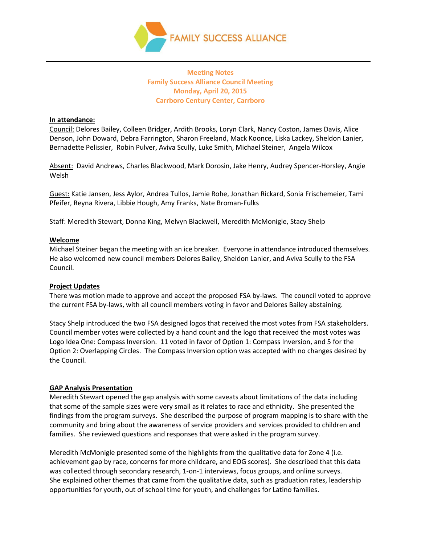

## **Meeting Notes Family Success Alliance Council Meeting Monday, April 20, 2015 Carrboro Century Center, Carrboro**

### **In attendance:**

Council: Delores Bailey, Colleen Bridger, Ardith Brooks, Loryn Clark, Nancy Coston, James Davis, Alice Denson, John Doward, Debra Farrington, Sharon Freeland, Mack Koonce, Liska Lackey, Sheldon Lanier, Bernadette Pelissier, Robin Pulver, Aviva Scully, Luke Smith, Michael Steiner, Angela Wilcox

Absent: David Andrews, Charles Blackwood, Mark Dorosin, Jake Henry, Audrey Spencer-Horsley, Angie Welsh

Guest: Katie Jansen, Jess Aylor, Andrea Tullos, Jamie Rohe, Jonathan Rickard, Sonia Frischemeier, Tami Pfeifer, Reyna Rivera, Libbie Hough, Amy Franks, Nate Broman-Fulks

Staff: Meredith Stewart, Donna King, Melvyn Blackwell, Meredith McMonigle, Stacy Shelp

## **Welcome**

Michael Steiner began the meeting with an ice breaker. Everyone in attendance introduced themselves. He also welcomed new council members Delores Bailey, Sheldon Lanier, and Aviva Scully to the FSA Council.

#### **Project Updates**

There was motion made to approve and accept the proposed FSA by-laws. The council voted to approve the current FSA by-laws, with all council members voting in favor and Delores Bailey abstaining.

Stacy Shelp introduced the two FSA designed logos that received the most votes from FSA stakeholders. Council member votes were collected by a hand count and the logo that received the most votes was Logo Idea One: Compass Inversion. 11 voted in favor of Option 1: Compass Inversion, and 5 for the Option 2: Overlapping Circles. The Compass Inversion option was accepted with no changes desired by the Council.

## **GAP Analysis Presentation**

Meredith Stewart opened the gap analysis with some caveats about limitations of the data including that some of the sample sizes were very small as it relates to race and ethnicity. She presented the findings from the program surveys. She described the purpose of program mapping is to share with the community and bring about the awareness of service providers and services provided to children and families. She reviewed questions and responses that were asked in the program survey.

Meredith McMonigle presented some of the highlights from the qualitative data for Zone 4 (i.e. achievement gap by race, concerns for more childcare, and EOG scores). She described that this data was collected through secondary research, 1-on-1 interviews, focus groups, and online surveys. She explained other themes that came from the qualitative data, such as graduation rates, leadership opportunities for youth, out of school time for youth, and challenges for Latino families.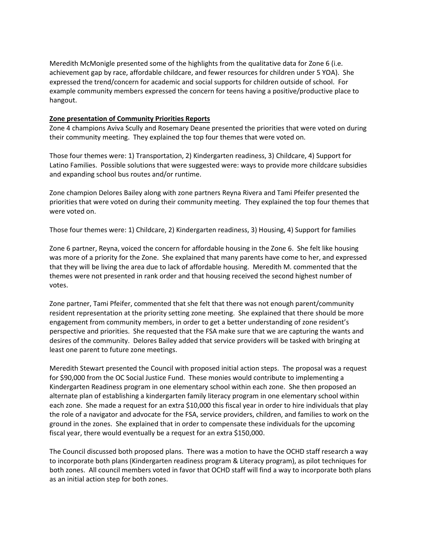Meredith McMonigle presented some of the highlights from the qualitative data for Zone 6 (i.e. achievement gap by race, affordable childcare, and fewer resources for children under 5 YOA). She expressed the trend/concern for academic and social supports for children outside of school. For example community members expressed the concern for teens having a positive/productive place to hangout.

## **Zone presentation of Community Priorities Reports**

Zone 4 champions Aviva Scully and Rosemary Deane presented the priorities that were voted on during their community meeting. They explained the top four themes that were voted on.

Those four themes were: 1) Transportation, 2) Kindergarten readiness, 3) Childcare, 4) Support for Latino Families. Possible solutions that were suggested were: ways to provide more childcare subsidies and expanding school bus routes and/or runtime.

Zone champion Delores Bailey along with zone partners Reyna Rivera and Tami Pfeifer presented the priorities that were voted on during their community meeting. They explained the top four themes that were voted on.

Those four themes were: 1) Childcare, 2) Kindergarten readiness, 3) Housing, 4) Support for families

Zone 6 partner, Reyna, voiced the concern for affordable housing in the Zone 6. She felt like housing was more of a priority for the Zone. She explained that many parents have come to her, and expressed that they will be living the area due to lack of affordable housing. Meredith M. commented that the themes were not presented in rank order and that housing received the second highest number of votes.

Zone partner, Tami Pfeifer, commented that she felt that there was not enough parent/community resident representation at the priority setting zone meeting. She explained that there should be more engagement from community members, in order to get a better understanding of zone resident's perspective and priorities. She requested that the FSA make sure that we are capturing the wants and desires of the community. Delores Bailey added that service providers will be tasked with bringing at least one parent to future zone meetings.

Meredith Stewart presented the Council with proposed initial action steps. The proposal was a request for \$90,000 from the OC Social Justice Fund. These monies would contribute to implementing a Kindergarten Readiness program in one elementary school within each zone. She then proposed an alternate plan of establishing a kindergarten family literacy program in one elementary school within each zone. She made a request for an extra \$10,000 this fiscal year in order to hire individuals that play the role of a navigator and advocate for the FSA, service providers, children, and families to work on the ground in the zones. She explained that in order to compensate these individuals for the upcoming fiscal year, there would eventually be a request for an extra \$150,000.

The Council discussed both proposed plans. There was a motion to have the OCHD staff research a way to incorporate both plans (Kindergarten readiness program & Literacy program), as pilot techniques for both zones. All council members voted in favor that OCHD staff will find a way to incorporate both plans as an initial action step for both zones.